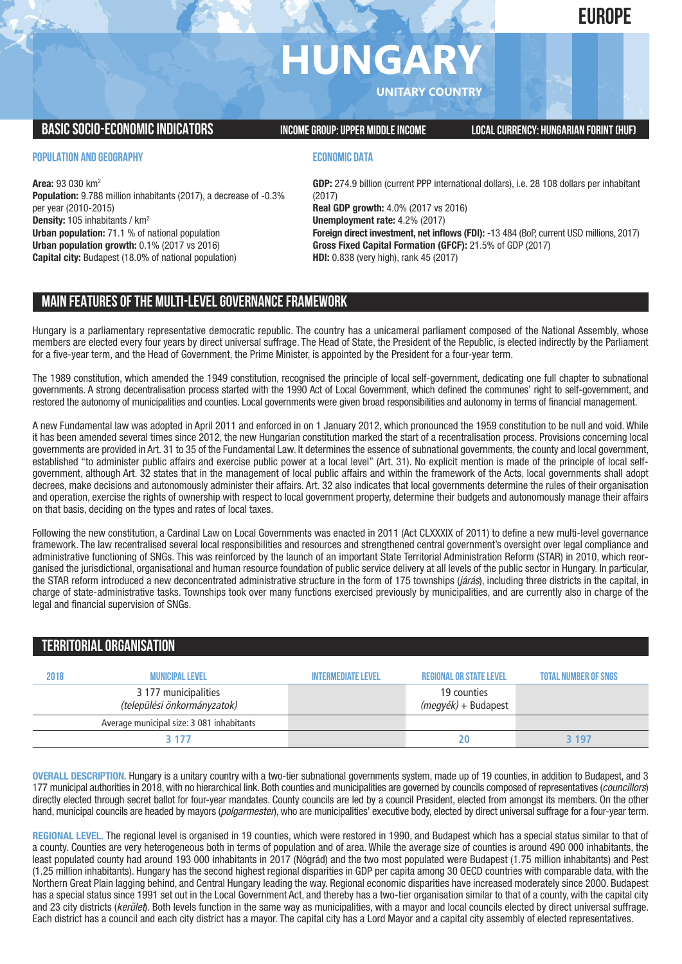## **EUROPE**

# **HUNGAR**

**UNITARY COUNTRY**

**BASICSOCIO-ECONOMICINDICATORS INCOMEGROUP:UPPER MIDDLEINCOME LOCALCURRENCY: HUNGARIAN FORINT(HUF)**

**POPULATION AND GEOGRAPHY**

**Area:** 93 030 km2 **Population:** 9.788 million inhabitants (2017), a decrease of -0.3% per year (2010-2015) **Density:** 105 inhabitants / km2 **Urban population:** 71.1 % of national population **Urban population growth:** 0.1% (2017 vs 2016) **Capital city:** Budapest (18.0% of national population)

#### **ECONOMIC DATA**

**GDP:** 274.9 billion (current PPP international dollars), i.e. 28 108 dollars per inhabitant (2017) **Real GDP growth:** 4.0% (2017 vs 2016) **Unemployment rate:** 4.2% (2017) **Foreign direct investment, net inflows (FDI):** -13 484 (BoP, current USD millions, 2017) **Gross Fixed Capital Formation (GFCF):** 21.5% of GDP (2017) **HDI:** 0.838 (very high), rank 45 (2017)

#### **MAIN FEATURESOFTHE MULTI-LEVELGOVERNANCEFRAMEWORK**

Hungary is a parliamentary representative democratic republic. The country has a unicameral parliament composed of the National Assembly, whose members are elected every four years by direct universal suffrage. The Head of State, the President of the Republic, is elected indirectly by the Parliament for a five-year term, and the Head of Government, the Prime Minister, is appointed by the President for a four-year term.

The 1989 constitution, which amended the 1949 constitution, recognised the principle of local self-government, dedicating one full chapter to subnational governments. A strong decentralisation process started with the 1990 Act of Local Government, which defined the communes' right to self-government, and restored the autonomy of municipalities and counties. Local governments were given broad responsibilities and autonomy in terms of financial management.

A new Fundamental law was adopted in April 2011 and enforced in on 1 January 2012, which pronounced the 1959 constitution to be null and void. While it has been amended several times since 2012, the new Hungarian constitution marked the start of a recentralisation process. Provisions concerning local governments are provided in Art. 31 to 35 of the Fundamental Law. It determines the essence of subnational governments, the county and local government, established "to administer public affairs and exercise public power at a local level" (Art. 31). No explicit mention is made of the principle of local selfgovernment, although Art. 32 states that in the management of local public affairs and within the framework of the Acts, local governments shall adopt decrees, make decisions and autonomously administer their affairs. Art. 32 also indicates that local governments determine the rules of their organisation and operation, exercise the rights of ownership with respect to local government property, determine their budgets and autonomously manage their affairs on that basis, deciding on the types and rates of local taxes.

Following the new constitution, a Cardinal Law on Local Governments was enacted in 2011 (Act CLXXXIX of 2011) to define a new multi-level governance framework. The law recentralised several local responsibilities and resources and strengthened central government's oversight over legal compliance and administrative functioning of SNGs. This was reinforced by the launch of an important State Territorial Administration Reform (STAR) in 2010, which reorganised the jurisdictional, organisational and human resource foundation of public service delivery at all levels of the public sector in Hungary. In particular, the STAR reform introduced a new deconcentrated administrative structure in the form of 175 townships (*járás*), including three districts in the capital, in charge of state-administrative tasks. Townships took over many functions exercised previously by municipalities, and are currently also in charge of the legal and financial supervision of SNGs.

## **TERRITORIALORGANISATION 2018 Municipallevel Intermediatelevel regionalor Statelevel Total number ofSNGs**

| 20 I O | <b>WUNDIFAL LEVEL</b>                               | <b>INTERMEDIATE LEVEL</b> | <b>INCONDITAL UN OTALE LEVEL</b>   | TUTAL NUMBER OF SNUS |
|--------|-----------------------------------------------------|---------------------------|------------------------------------|----------------------|
|        | 3 177 municipalities<br>(települési önkormányzatok) |                           | 19 counties<br>(megyék) + Budapest |                      |
|        | Average municipal size: 3 081 inhabitants           |                           |                                    |                      |
|        | 3 177                                               |                           | 20                                 | <b>3197</b>          |
|        |                                                     |                           |                                    |                      |

**OVERALL DESCRIPTION.** Hungary is a unitary country with a two-tier subnational governments system, made up of 19 counties, in addition to Budapest, and 3 177 municipal authorities in 2018,with no hierarchical link. Both counties and municipalities are governed by councils composed of representatives (*councillors*) directly elected through secret ballot for four-year mandates. County councils are led by a council President, elected from amongst its members. On the other hand, municipal councils are headed by mayors (*polgarmester*), who are municipalities' executive body, elected by direct universal suffrage for a four-year term.

**REGIONAL LEVEL.** The regional level is organised in 19 counties, which were restored in 1990, and Budapest which has a special status similar to that of a county. Counties are very heterogeneous both in terms of population and of area. While the average size of counties is around 490 000 inhabitants, the least populated county had around 193 000 inhabitants in 2017 (Nógrád) and the two most populated were Budapest (1.75 million inhabitants) and Pest (1.25 million inhabitants). Hungary has the second highest regional disparities in GDP per capita among 30 OECD countries with comparable data, with the Northern Great Plain lagging behind, and Central Hungary leading the way. Regional economic disparities have increased moderately since 2000. Budapest has a special status since 1991 set out in the Local Government Act, and thereby has a two-tier organisation similar to that of a county, with the capital city and 23 city districts (*kerület*). Both levels function in the same way as municipalities, with a mayor and local councils elected by direct universal suffrage. Each district has a council and each city district has a mayor. The capital city has a Lord Mayor and a capital city assembly of elected representatives.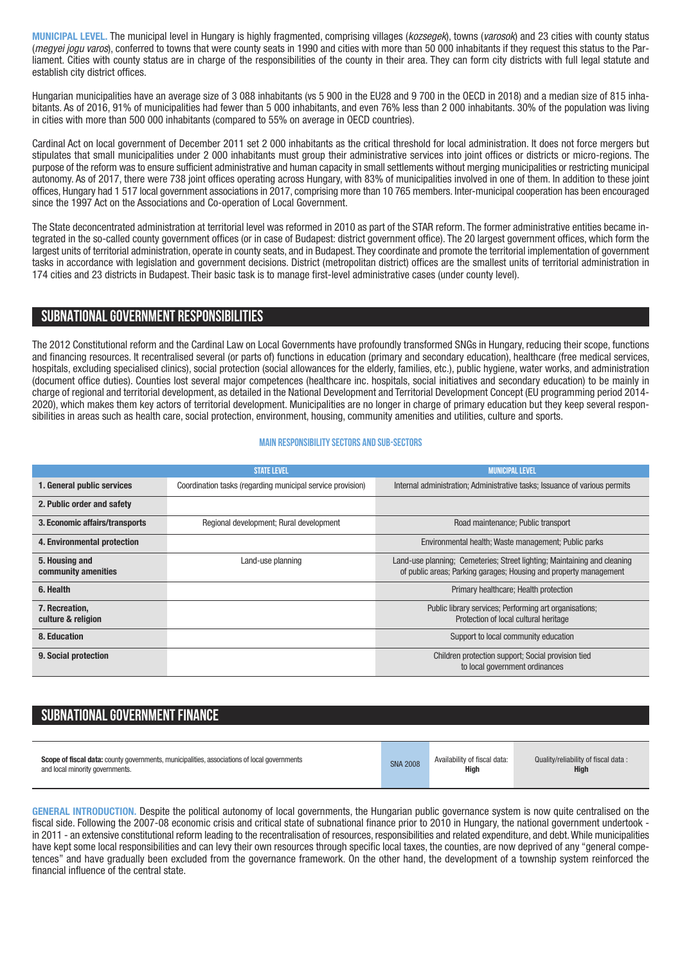**MUNICIPAL LEVEL.** The municipal level in Hungary is highly fragmented, comprising villages (*kozsegek*), towns (*varosok*) and 23 cities with county status (*megyei jogu varos*), conferred to towns that were county seats in 1990 and cities with more than 50 000 inhabitants if they request this status to the Parliament. Cities with county status are in charge of the responsibilities of the county in their area. They can form city districts with full legal statute and establish city district offices.

Hungarian municipalities have an average size of 3 088 inhabitants (vs 5 900 in the EU28 and 9 700 in the OECD in 2018) and a median size of 815 inhabitants. As of 2016, 91% of municipalities had fewer than 5 000 inhabitants, and even 76% less than 2 000 inhabitants. 30% of the population was living in cities with more than 500 000 inhabitants (compared to 55% on average in OECD countries).

Cardinal Act on local government of December 2011 set 2 000 inhabitants as the critical threshold for local administration. It does not force mergers but stipulates that small municipalities under 2 000 inhabitants must group their administrative services into joint offices or districts or micro-regions. The purpose of the reform was to ensure sufficient administrative and human capacity in small settlements without merging municipalities or restricting municipal autonomy. As of 2017, there were 738 joint offices operating across Hungary, with 83% of municipalities involved in one of them. In addition to these joint offices, Hungary had 1 517 local government associations in 2017, comprising more than 10 765 members. Inter-municipal cooperation has been encouraged since the 1997 Act on the Associations and Co-operation of Local Government.

The State deconcentrated administration at territorial level was reformed in 2010 as part of the STAR reform. The former administrative entities became integrated in the so-called county government offices (or in case of Budapest: district government office). The 20 largest government offices, which form the largest units of territorial administration, operate in county seats, and in Budapest. They coordinate and promote the territorial implementation of government tasks in accordance with legislation and government decisions. District (metropolitan district) offices are the smallest units of territorial administration in 174 cities and 23 districts in Budapest. Their basic task is to manage first-level administrative cases (under county level).

#### **SUBNATIONALGOVERNMENT RESPONSIBILITIES**

The 2012 Constitutional reform and the Cardinal Law on Local Governments have profoundly transformed SNGs in Hungary, reducing their scope, functions and financing resources. It recentralised several (or parts of) functions in education (primary and secondary education), healthcare (free medical services, hospitals, excluding specialised clinics), social protection (social allowances for the elderly, families, etc.), public hygiene, water works, and administration (document office duties). Counties lost several major competences (healthcare inc. hospitals, social initiatives and secondary education) to be mainly in charge of regional and territorial development, as detailed in the National Development and Territorial Development Concept (EU programming period 2014- 2020), which makes them key actors of territorial development. Municipalities are no longer in charge of primary education but they keep several responsibilities in areas such as health care, social protection, environment, housing, community amenities and utilities, culture and sports.

#### **Main responsibilitysectors and sub-sectors**

|                                       | <b><i>STATE LEVEL</i></b>                                  | <b>MUNICIPAL LEVEL</b>                                                                                                                        |  |
|---------------------------------------|------------------------------------------------------------|-----------------------------------------------------------------------------------------------------------------------------------------------|--|
| 1. General public services            | Coordination tasks (regarding municipal service provision) | Internal administration; Administrative tasks; Issuance of various permits                                                                    |  |
| 2. Public order and safety            |                                                            |                                                                                                                                               |  |
| 3. Economic affairs/transports        | Regional development; Rural development                    | Road maintenance; Public transport                                                                                                            |  |
| 4. Environmental protection           |                                                            | Environmental health; Waste management; Public parks                                                                                          |  |
| 5. Housing and<br>community amenities | Land-use planning                                          | Land-use planning: Cemeteries: Street lighting: Maintaining and cleaning<br>of public areas; Parking garages; Housing and property management |  |
| 6. Health                             |                                                            | Primary healthcare; Health protection                                                                                                         |  |
| 7. Recreation.<br>culture & religion  |                                                            | Public library services; Performing art organisations;<br>Protection of local cultural heritage                                               |  |
| 8. Education                          |                                                            | Support to local community education                                                                                                          |  |
| 9. Social protection                  |                                                            | Children protection support; Social provision tied<br>to local government ordinances                                                          |  |

### **SUBNATIONAL GOVERNMENT FINANCE**

| <b>Scope of fiscal data:</b> county governments, municipalities, associations of local governments | <b>SNA 2008</b> | Availability of fiscal data: | Quality/reliability of fiscal data: |
|----------------------------------------------------------------------------------------------------|-----------------|------------------------------|-------------------------------------|
| and local minority governments.                                                                    |                 | Hiah                         | High                                |

**GENERAL INTRODUCTION.** Despite the political autonomy of local governments, the Hungarian public governance system is now quite centralised on the fiscal side. Following the 2007-08 economic crisis and critical state of subnational finance prior to 2010 in Hungary, the national government undertook in 2011 - an extensive constitutional reform leading to the recentralisation of resources, responsibilities and related expenditure, and debt.While municipalities have kept some local responsibilities and can levy their own resources through specific local taxes, the counties, are now deprived of any "general competences" and have gradually been excluded from the governance framework. On the other hand, the development of a township system reinforced the financial influence of the central state.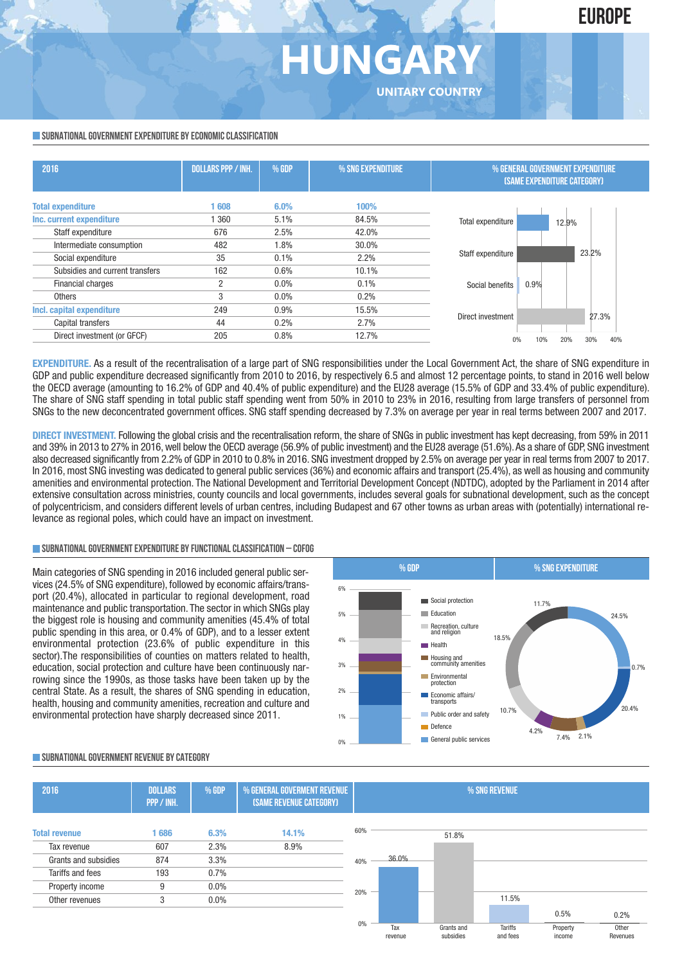## **HUNGA UNITARY COUNTRY**

#### **SUBNATIONAL GOVERNMENT EXPENDITURE BY ECONOMIC CLASSIFICATION**

| 2016                            | <b>DOLLARS PPP / INH.</b> | % GDP   | % SNG EXPENDITURE | % GENERAL GOVERNMENT EXPENDITURE<br><b>(SAME EXPENDITURE CATEGORY)</b> |
|---------------------------------|---------------------------|---------|-------------------|------------------------------------------------------------------------|
| <b>Total expenditure</b>        | 608                       | 6.0%    | 100%              |                                                                        |
| Inc. current expenditure        | 360                       | 5.1%    | 84.5%             | Total expenditure<br>12.9%                                             |
| Staff expenditure               | 676                       | 2.5%    | 42.0%             |                                                                        |
| Intermediate consumption        | 482                       | 1.8%    | 30.0%             |                                                                        |
| Social expenditure              | 35                        | 0.1%    | 2.2%              | 23.2%<br>Staff expenditure                                             |
| Subsidies and current transfers | 162                       | 0.6%    | 10.1%             |                                                                        |
| Financial charges               | 2                         | $0.0\%$ | 0.1%              | 0.9%<br>Social benefits                                                |
| <b>Others</b>                   | 3                         | $0.0\%$ | 0.2%              |                                                                        |
| Incl. capital expenditure       | 249                       | 0.9%    | 15.5%             |                                                                        |
| Capital transfers               | 44                        | 0.2%    | 2.7%              | 27.3%<br>Direct investment                                             |
| Direct investment (or GFCF)     | 205                       | 0.8%    | 12.7%             | 30%<br>40%<br>10%<br>20%                                               |

**EXPENDITURE.** As a result of the recentralisation of a large part of SNG responsibilities under the Local Government Act, the share of SNG expenditure in GDP and public expenditure decreased significantly from 2010 to 2016, by respectively 6.5 and almost 12 percentage points, to stand in 2016 well below the OECD average (amounting to 16.2% of GDP and 40.4% of public expenditure) and the EU28 average (15.5% of GDP and 33.4% of public expenditure). The share of SNG staff spending in total public staff spending went from 50% in 2010 to 23% in 2016, resulting from large transfers of personnel from SNGs to the new deconcentrated government offices. SNG staff spending decreased by 7.3% on average per year in real terms between 2007 and 2017.

**DIRECT INVESTMENT.** Following the global crisis and the recentralisation reform, the share of SNGs in public investment has kept decreasing, from 59% in 2011 and 39% in 2013 to 27% in 2016,well below the OECD average (56.9% of public investment) and the EU28 average (51.6%).As a share of GDP, SNG investment also decreased significantly from 2.2% of GDP in 2010 to 0.8% in 2016. SNG investment dropped by 2.5% on average per year in real terms from 2007 to 2017. In 2016, most SNG investing was dedicated to general public services (36%) and economic affairs and transport (25.4%), as well as housing and community amenities and environmental protection. The National Development and Territorial Development Concept (NDTDC), adopted by the Parliament in 2014 after extensive consultation across ministries, county councils and local governments, includes several goals for subnational development, such as the concept of polycentricism, and considers different levels of urban centres, including Budapest and 67 other towns as urban areas with (potentially) international relevance as regional poles, which could have an impact on investment.

#### **SUBNATIONALGOVERNMENTEXPENDITURE BYFUNCTIONALCLASSIFICATION – COFOG**

Main categories of SNG spending in 2016 included general public services (24.5% of SNG expenditure), followed by economic affairs/transport (20.4%), allocated in particular to regional development, road maintenance and public transportation. The sector in which SNGs play the biggest role is housing and community amenities (45.4% of total public spending in this area, or 0.4% of GDP), and to a lesser extent environmental protection (23.6% of public expenditure in this sector).The responsibilities of counties on matters related to health, education, social protection and culture have been continuously narrowing since the 1990s, as those tasks have been taken up by the central State. As a result, the shares of SNG spending in education, health, housing and community amenities, recreation and culture and environmental protection have sharply decreased since 2011.



income

#### **SUBNATIONALGOVERNMENT REVENUE BYCATEGORY**